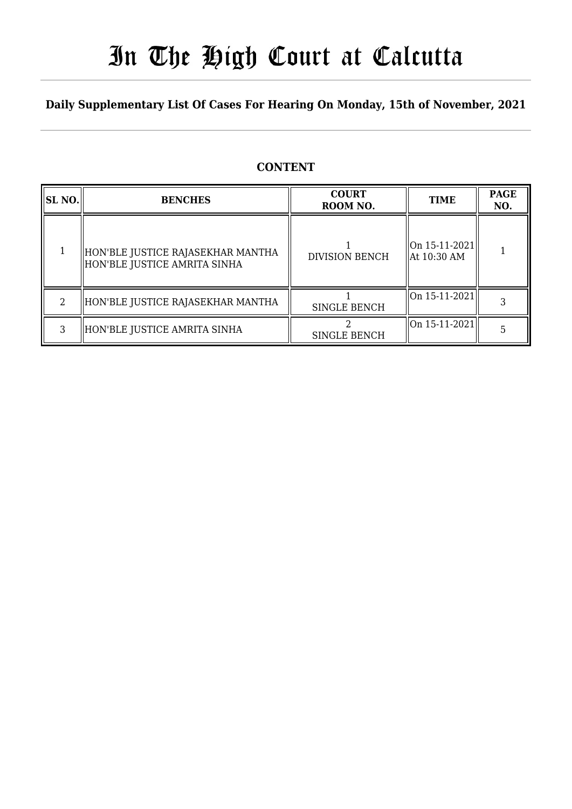# In The High Court at Calcutta

### **Daily Supplementary List Of Cases For Hearing On Monday, 15th of November, 2021**

### **CONTENT**

| SL NO. | <b>BENCHES</b>                                                    | <b>COURT</b><br>ROOM NO. | <b>TIME</b>                    | <b>PAGE</b><br>NO. |
|--------|-------------------------------------------------------------------|--------------------------|--------------------------------|--------------------|
|        | HON'BLE JUSTICE RAJASEKHAR MANTHA<br>HON'BLE JUSTICE AMRITA SINHA | <b>DIVISION BENCH</b>    | On 15-11-2021<br>  At 10:30 AM |                    |
|        | HON'BLE JUSTICE RAJASEKHAR MANTHA                                 | <b>SINGLE BENCH</b>      | On 15-11-2021                  |                    |
|        | HON'BLE JUSTICE AMRITA SINHA                                      | SINGLE BENCH             | On 15-11-2021                  |                    |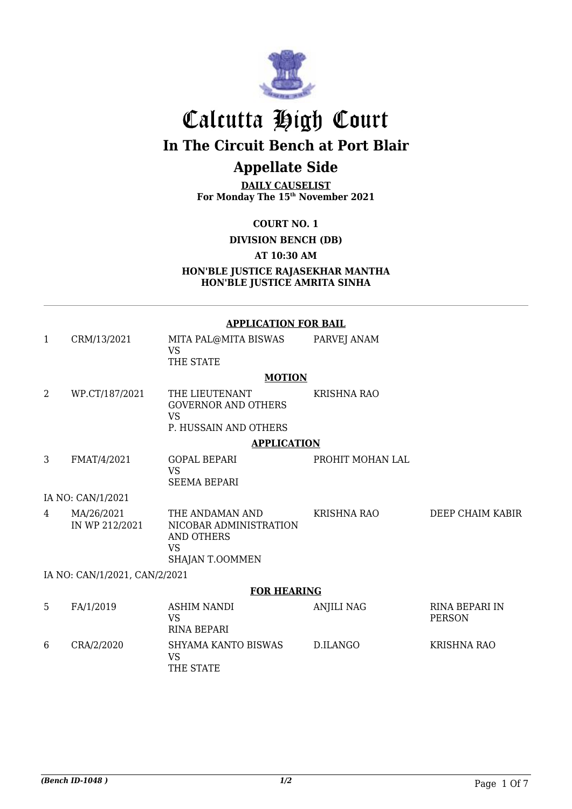

# Calcutta High Court

**In The Circuit Bench at Port Blair**

## **Appellate Side**

**DAILY CAUSELIST For Monday The 15th November 2021**

**COURT NO. 1**

**DIVISION BENCH (DB)**

**AT 10:30 AM**

**HON'BLE JUSTICE RAJASEKHAR MANTHA HON'BLE JUSTICE AMRITA SINHA**

#### **APPLICATION FOR BAIL**

| 1              | CRM/13/2021                   | MITA PAL@MITA BISWAS<br><b>VS</b><br>THE STATE                                          | PARVEJ ANAM        |                                        |
|----------------|-------------------------------|-----------------------------------------------------------------------------------------|--------------------|----------------------------------------|
|                |                               | <b>MOTION</b>                                                                           |                    |                                        |
| $\overline{2}$ | WP.CT/187/2021                | THE LIEUTENANT<br><b>GOVERNOR AND OTHERS</b><br><b>VS</b><br>P. HUSSAIN AND OTHERS      | <b>KRISHNA RAO</b> |                                        |
|                |                               | <b>APPLICATION</b>                                                                      |                    |                                        |
| 3              | FMAT/4/2021                   | <b>GOPAL BEPARI</b>                                                                     | PROHIT MOHAN LAL   |                                        |
|                |                               | <b>VS</b><br><b>SEEMA BEPARI</b>                                                        |                    |                                        |
|                | IA NO: CAN/1/2021             |                                                                                         |                    |                                        |
| $\overline{4}$ | MA/26/2021<br>IN WP 212/2021  | THE ANDAMAN AND<br>NICOBAR ADMINISTRATION<br>AND OTHERS<br><b>VS</b><br>SHAJAN T.OOMMEN | <b>KRISHNA RAO</b> | DEEP CHAIM KABIR                       |
|                | IA NO: CAN/1/2021, CAN/2/2021 |                                                                                         |                    |                                        |
|                |                               | <b>FOR HEARING</b>                                                                      |                    |                                        |
| 5              | FA/1/2019                     | <b>ASHIM NANDI</b><br><b>VS</b><br><b>RINA BEPARI</b>                                   | <b>ANJILI NAG</b>  | <b>RINA BEPARI IN</b><br><b>PERSON</b> |
| 6              | CRA/2/2020                    | SHYAMA KANTO BISWAS<br><b>VS</b><br>THE STATE                                           | D.ILANGO           | <b>KRISHNA RAO</b>                     |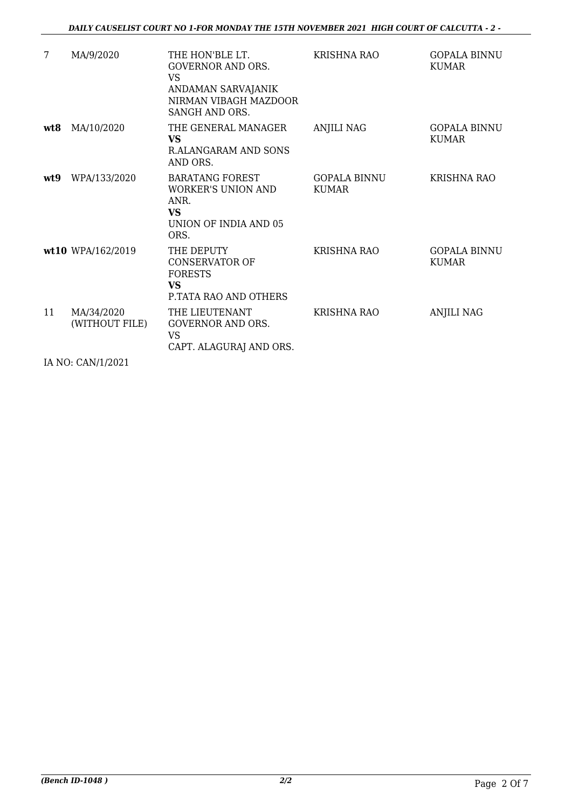| 7    | MA/9/2020                                            | THE HON'BLE LT.<br><b>GOVERNOR AND ORS.</b><br>VS<br>ANDAMAN SARVAJANIK<br>NIRMAN VIBAGH MAZDOOR<br>SANGH AND ORS. | <b>KRISHNA RAO</b>           | <b>GOPALA BINNU</b><br><b>KUMAR</b> |
|------|------------------------------------------------------|--------------------------------------------------------------------------------------------------------------------|------------------------------|-------------------------------------|
| wt8  | MA/10/2020                                           | THE GENERAL MANAGER<br><b>VS</b><br>R.ALANGARAM AND SONS<br>AND ORS.                                               | <b>ANJILI NAG</b>            | <b>GOPALA BINNU</b><br><b>KUMAR</b> |
| wt.9 | WPA/133/2020                                         | <b>BARATANG FOREST</b><br><b>WORKER'S UNION AND</b><br>ANR.<br><b>VS</b><br>UNION OF INDIA AND 05<br>ORS.          | GOPALA BINNU<br><b>KUMAR</b> | KRISHNA RAO                         |
|      | wt10 WPA/162/2019                                    | THE DEPUTY<br><b>CONSERVATOR OF</b><br><b>FORESTS</b><br><b>VS</b><br>P.TATA RAO AND OTHERS                        | KRISHNA RAO                  | <b>GOPALA BINNU</b><br><b>KUMAR</b> |
| 11   | MA/34/2020<br>(WITHOUT FILE)<br>71.770 0.13714 0.004 | THE LIEUTENANT<br><b>GOVERNOR AND ORS.</b><br><b>VS</b><br>CAPT. ALAGURAJ AND ORS.                                 | <b>KRISHNA RAO</b>           | <b>ANJILI NAG</b>                   |
|      |                                                      |                                                                                                                    |                              |                                     |

IA NO: CAN/1/2021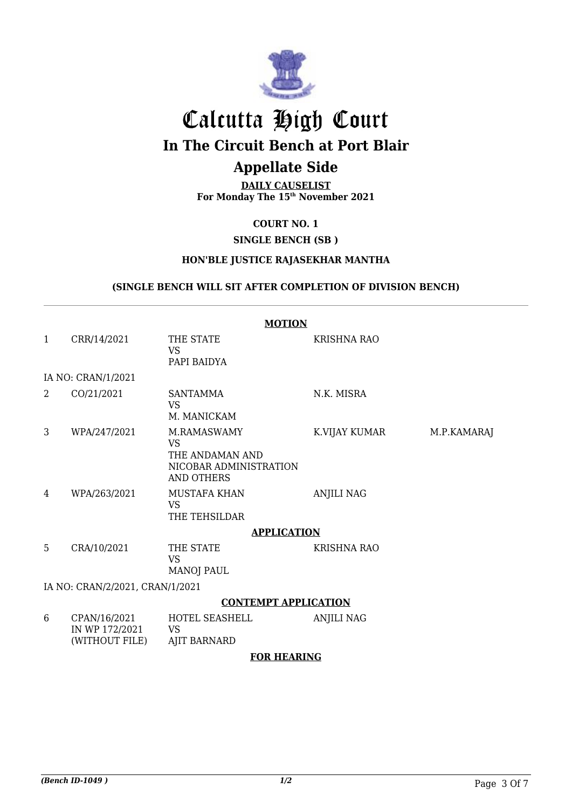

# Calcutta High Court **In The Circuit Bench at Port Blair**

## **Appellate Side**

**DAILY CAUSELIST For Monday The 15th November 2021**

#### **COURT NO. 1**

#### **SINGLE BENCH (SB )**

#### **HON'BLE JUSTICE RAJASEKHAR MANTHA**

#### **(SINGLE BENCH WILL SIT AFTER COMPLETION OF DIVISION BENCH)**

|                             | <b>MOTION</b>                                    |                                                                                            |                    |             |  |  |
|-----------------------------|--------------------------------------------------|--------------------------------------------------------------------------------------------|--------------------|-------------|--|--|
| $\mathbf{1}$                | CRR/14/2021                                      | THE STATE<br><b>VS</b><br>PAPI BAIDYA                                                      | KRISHNA RAO        |             |  |  |
|                             | IA NO: CRAN/1/2021                               |                                                                                            |                    |             |  |  |
| 2                           | CO/21/2021                                       | SANTAMMA<br><b>VS</b><br>M. MANICKAM                                                       | N.K. MISRA         |             |  |  |
| 3                           | WPA/247/2021                                     | M.RAMASWAMY<br><b>VS</b><br>THE ANDAMAN AND<br>NICOBAR ADMINISTRATION<br><b>AND OTHERS</b> | K.VIJAY KUMAR      | M.P.KAMARAJ |  |  |
| 4                           | WPA/263/2021                                     | <b>MUSTAFA KHAN</b><br><b>VS</b><br>THE TEHSILDAR                                          | <b>ANJILI NAG</b>  |             |  |  |
|                             |                                                  | <b>APPLICATION</b>                                                                         |                    |             |  |  |
| 5                           | CRA/10/2021                                      | THE STATE<br><b>VS</b><br><b>MANOJ PAUL</b>                                                | <b>KRISHNA RAO</b> |             |  |  |
|                             | IA NO: CRAN/2/2021, CRAN/1/2021                  |                                                                                            |                    |             |  |  |
| <b>CONTEMPT APPLICATION</b> |                                                  |                                                                                            |                    |             |  |  |
| 6                           | CPAN/16/2021<br>IN WP 172/2021<br>(WITHOUT FILE) | HOTEL SEASHELL<br><b>VS</b><br><b>AJIT BARNARD</b>                                         | <b>ANJILI NAG</b>  |             |  |  |
|                             | <b>FOR HEARING</b>                               |                                                                                            |                    |             |  |  |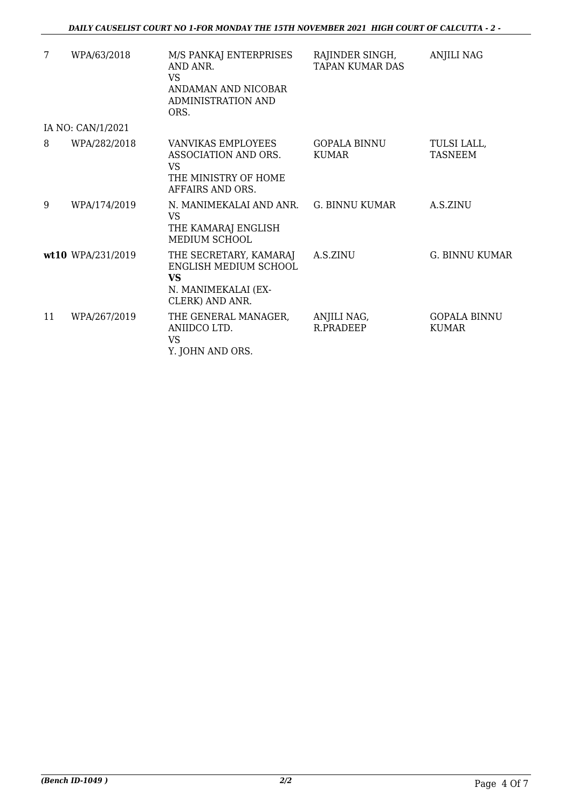| 7  | WPA/63/2018       | M/S PANKAJ ENTERPRISES<br>AND ANR.<br><b>VS</b><br>ANDAMAN AND NICOBAR<br>ADMINISTRATION AND<br>ORS.   | RAJINDER SINGH,<br><b>TAPAN KUMAR DAS</b> | <b>ANJILI NAG</b>                   |
|----|-------------------|--------------------------------------------------------------------------------------------------------|-------------------------------------------|-------------------------------------|
|    | IA NO: CAN/1/2021 |                                                                                                        |                                           |                                     |
| 8  | WPA/282/2018      | VANVIKAS EMPLOYEES<br>ASSOCIATION AND ORS.<br><b>VS</b><br>THE MINISTRY OF HOME<br>AFFAIRS AND ORS.    | <b>GOPALA BINNU</b><br><b>KUMAR</b>       | TULSI LALL,<br><b>TASNEEM</b>       |
| 9  | WPA/174/2019      | N. MANIMEKALAI AND ANR. G. BINNU KUMAR<br><b>VS</b><br>THE KAMARAJ ENGLISH<br><b>MEDIUM SCHOOL</b>     |                                           | A.S.ZINU                            |
|    | wt10 WPA/231/2019 | THE SECRETARY, KAMARAJ<br>ENGLISH MEDIUM SCHOOL<br><b>VS</b><br>N. MANIMEKALAI (EX-<br>CLERK) AND ANR. | A.S.ZINU                                  | <b>G. BINNU KUMAR</b>               |
| 11 | WPA/267/2019      | THE GENERAL MANAGER,<br>ANIIDCO LTD.<br><b>VS</b><br>Y. JOHN AND ORS.                                  | ANJILI NAG,<br>R.PRADEEP                  | <b>GOPALA BINNU</b><br><b>KUMAR</b> |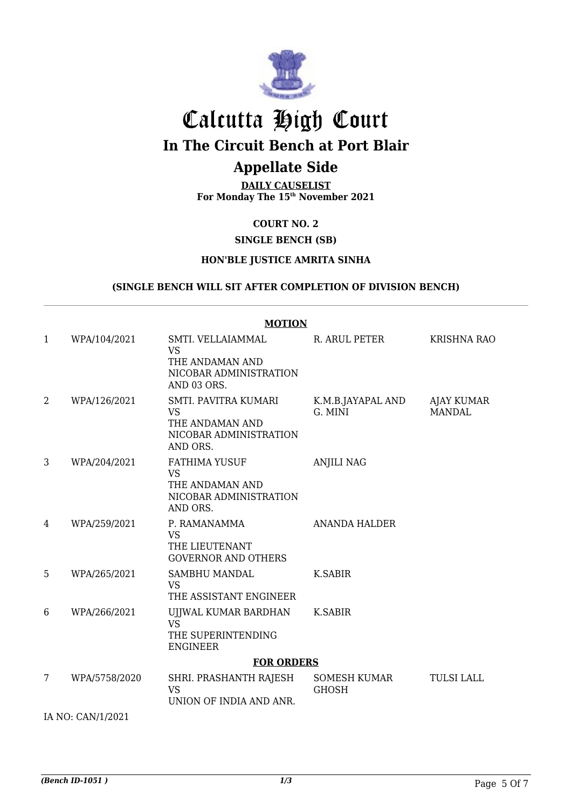

# Calcutta High Court

**In The Circuit Bench at Port Blair**

# **Appellate Side**

**DAILY CAUSELIST For Monday The 15th November 2021**

#### **COURT NO. 2**

#### **SINGLE BENCH (SB)**

#### **HON'BLE JUSTICE AMRITA SINHA**

#### **(SINGLE BENCH WILL SIT AFTER COMPLETION OF DIVISION BENCH)**

|                   | <b>MOTION</b>     |                                                                                            |                                     |                             |  |  |
|-------------------|-------------------|--------------------------------------------------------------------------------------------|-------------------------------------|-----------------------------|--|--|
| 1                 | WPA/104/2021      | SMTI. VELLAIAMMAL<br><b>VS</b><br>THE ANDAMAN AND<br>NICOBAR ADMINISTRATION<br>AND 03 ORS. | R. ARUL PETER                       | <b>KRISHNA RAO</b>          |  |  |
| 2                 | WPA/126/2021      | SMTI. PAVITRA KUMARI<br><b>VS</b><br>THE ANDAMAN AND<br>NICOBAR ADMINISTRATION<br>AND ORS. | K.M.B.JAYAPAL AND<br>G. MINI        | AJAY KUMAR<br><b>MANDAL</b> |  |  |
| 3                 | WPA/204/2021      | <b>FATHIMA YUSUF</b><br><b>VS</b><br>THE ANDAMAN AND<br>NICOBAR ADMINISTRATION<br>AND ORS. | <b>ANJILI NAG</b>                   |                             |  |  |
| 4                 | WPA/259/2021      | P. RAMANAMMA<br><b>VS</b><br>THE LIEUTENANT<br><b>GOVERNOR AND OTHERS</b>                  | <b>ANANDA HALDER</b>                |                             |  |  |
| 5                 | WPA/265/2021      | SAMBHU MANDAL<br><b>VS</b><br>THE ASSISTANT ENGINEER                                       | K.SABIR                             |                             |  |  |
| 6                 | WPA/266/2021      | UJJWAL KUMAR BARDHAN<br><b>VS</b><br>THE SUPERINTENDING<br><b>ENGINEER</b>                 | K.SABIR                             |                             |  |  |
|                   | <b>FOR ORDERS</b> |                                                                                            |                                     |                             |  |  |
| 7                 | WPA/5758/2020     | SHRI. PRASHANTH RAJESH<br><b>VS</b><br>UNION OF INDIA AND ANR.                             | <b>SOMESH KUMAR</b><br><b>GHOSH</b> | <b>TULSI LALL</b>           |  |  |
| IA NO: CAN/1/2021 |                   |                                                                                            |                                     |                             |  |  |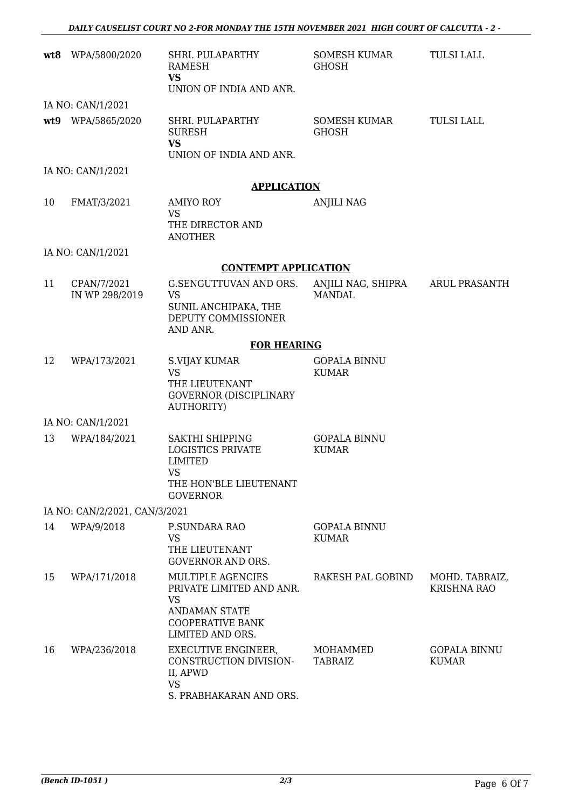| wt8 | WPA/5800/2020                 | SHRI. PULAPARTHY<br>RAMESH<br><b>VS</b><br>UNION OF INDIA AND ANR.                                                                | SOMESH KUMAR<br>GHOSH               | <b>TULSI LALL</b>                    |
|-----|-------------------------------|-----------------------------------------------------------------------------------------------------------------------------------|-------------------------------------|--------------------------------------|
|     | IA NO: CAN/1/2021             |                                                                                                                                   |                                     |                                      |
|     | wt9 WPA/5865/2020             | SHRI. PULAPARTHY<br><b>SURESH</b><br><b>VS</b><br>UNION OF INDIA AND ANR.                                                         | SOMESH KUMAR<br><b>GHOSH</b>        | <b>TULSI LALL</b>                    |
|     | IA NO: CAN/1/2021             |                                                                                                                                   |                                     |                                      |
|     |                               | <b>APPLICATION</b>                                                                                                                |                                     |                                      |
| 10  | FMAT/3/2021                   | <b>AMIYO ROY</b><br><b>VS</b><br>THE DIRECTOR AND<br><b>ANOTHER</b>                                                               | <b>ANJILI NAG</b>                   |                                      |
|     | IA NO: CAN/1/2021             |                                                                                                                                   |                                     |                                      |
|     |                               | <b>CONTEMPT APPLICATION</b>                                                                                                       |                                     |                                      |
| 11  | CPAN/7/2021<br>IN WP 298/2019 | <b>G.SENGUTTUVAN AND ORS.</b><br><b>VS</b><br>SUNIL ANCHIPAKA, THE<br>DEPUTY COMMISSIONER<br>AND ANR.                             | ANJILI NAG, SHIPRA<br><b>MANDAL</b> | <b>ARUL PRASANTH</b>                 |
|     |                               | <b>FOR HEARING</b>                                                                                                                |                                     |                                      |
| 12  | WPA/173/2021                  | S.VIJAY KUMAR<br><b>VS</b><br>THE LIEUTENANT<br><b>GOVERNOR (DISCIPLINARY</b><br><b>AUTHORITY)</b>                                | <b>GOPALA BINNU</b><br><b>KUMAR</b> |                                      |
|     | IA NO: CAN/1/2021             |                                                                                                                                   |                                     |                                      |
| 13  | WPA/184/2021                  | SAKTHI SHIPPING<br><b>LOGISTICS PRIVATE</b><br><b>LIMITED</b><br>VS.<br>THE HON'BLE LIEUTENANT<br><b>GOVERNOR</b>                 | <b>GOPALA BINNU</b><br><b>KUMAR</b> |                                      |
|     | IA NO: CAN/2/2021, CAN/3/2021 |                                                                                                                                   |                                     |                                      |
| 14  | WPA/9/2018                    | P.SUNDARA RAO<br><b>VS</b><br>THE LIEUTENANT<br><b>GOVERNOR AND ORS.</b>                                                          | <b>GOPALA BINNU</b><br><b>KUMAR</b> |                                      |
| 15  | WPA/171/2018                  | MULTIPLE AGENCIES<br>PRIVATE LIMITED AND ANR.<br><b>VS</b><br><b>ANDAMAN STATE</b><br><b>COOPERATIVE BANK</b><br>LIMITED AND ORS. | RAKESH PAL GOBIND                   | MOHD. TABRAIZ,<br><b>KRISHNA RAO</b> |
| 16  | WPA/236/2018                  | EXECUTIVE ENGINEER,<br>CONSTRUCTION DIVISION-<br>II, APWD<br><b>VS</b><br>S. PRABHAKARAN AND ORS.                                 | MOHAMMED<br>TABRAIZ                 | <b>GOPALA BINNU</b><br><b>KUMAR</b>  |